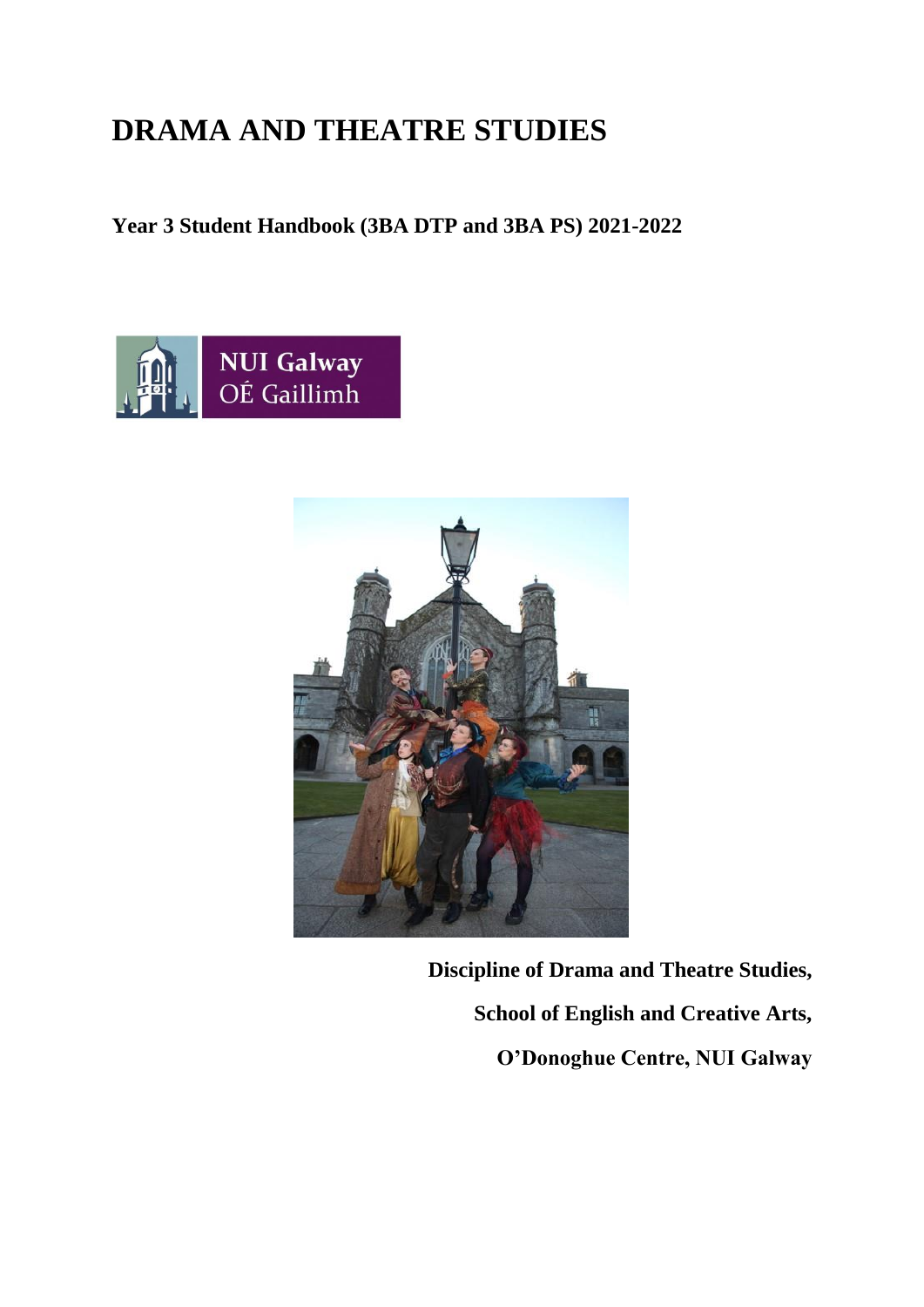# **DRAMA AND THEATRE STUDIES**

# **Year 3 Student Handbook (3BA DTP and 3BA PS) 2021-2022**





**Discipline of Drama and Theatre Studies, School of English and Creative Arts, O'Donoghue Centre, NUI Galway**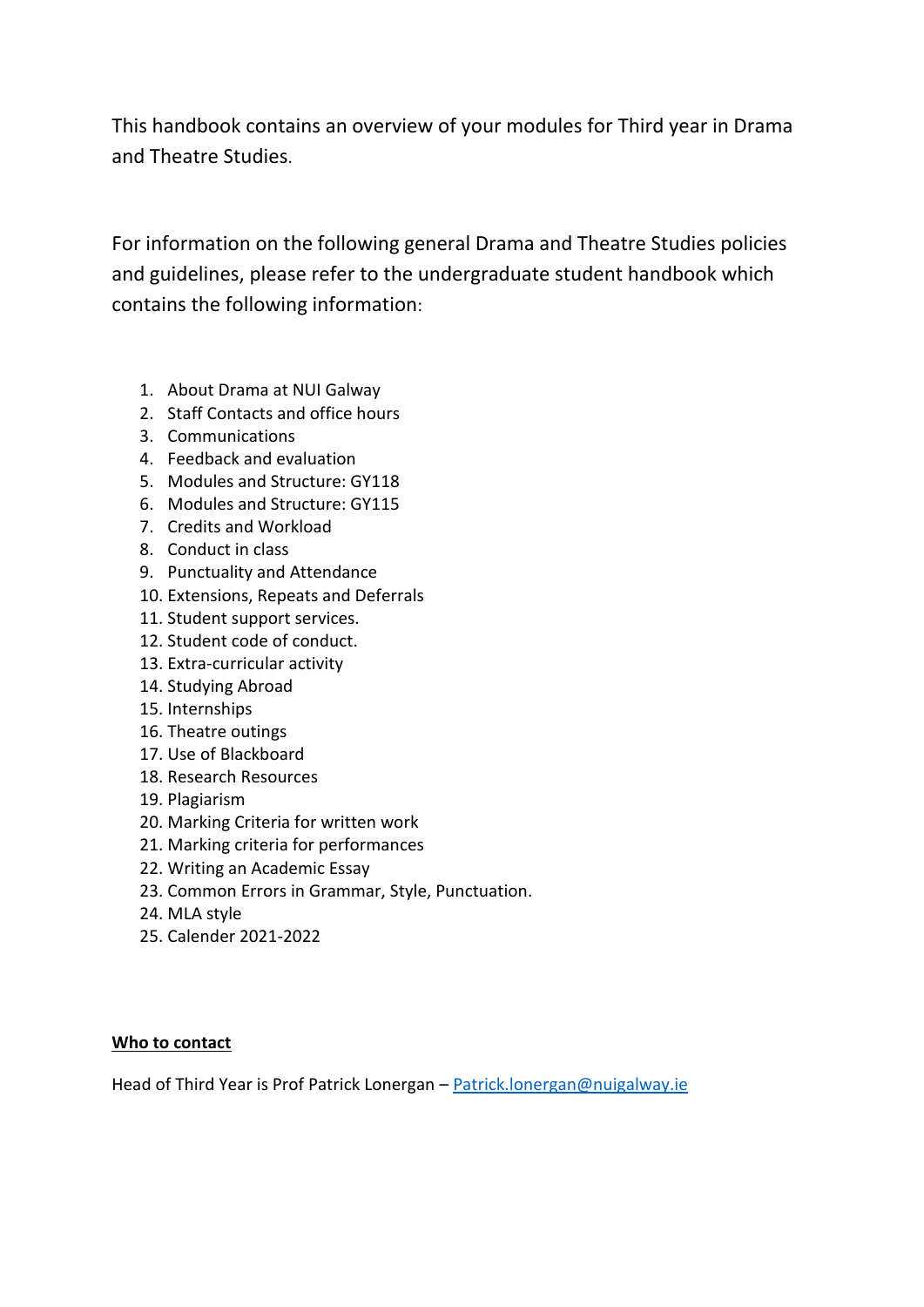This handbook contains an overview of your modules for Third year in Drama and Theatre Studies.

For information on the following general Drama and Theatre Studies policies and guidelines, please refer to the undergraduate student handbook which contains the following information:

- 1. About Drama at NUI Galway
- 2. Staff Contacts and office hours
- 3. Communications
- 4. Feedback and evaluation
- 5. Modules and Structure: GY118
- 6. Modules and Structure: GY115
- 7. Credits and Workload
- 8. Conduct in class
- 9. Punctuality and Attendance
- 10. Extensions, Repeats and Deferrals
- 11. Student support services.
- 12. Student code of conduct.
- 13. Extra-curricular activity
- 14. Studying Abroad
- 15. Internships
- 16. Theatre outings
- 17. Use of Blackboard
- 18. Research Resources
- 19. Plagiarism
- 20. Marking Criteria for written work
- 21. Marking criteria for performances
- 22. Writing an Academic Essay
- 23. Common Errors in Grammar, Style, Punctuation.
- 24. MLA style
- 25. Calender 2021-2022

# **Who to contact**

Head of Third Year is Prof Patrick Lonergan - [Patrick.lonergan@nuigalway.ie](mailto:Patrick.lonergan@nuigalway.ie)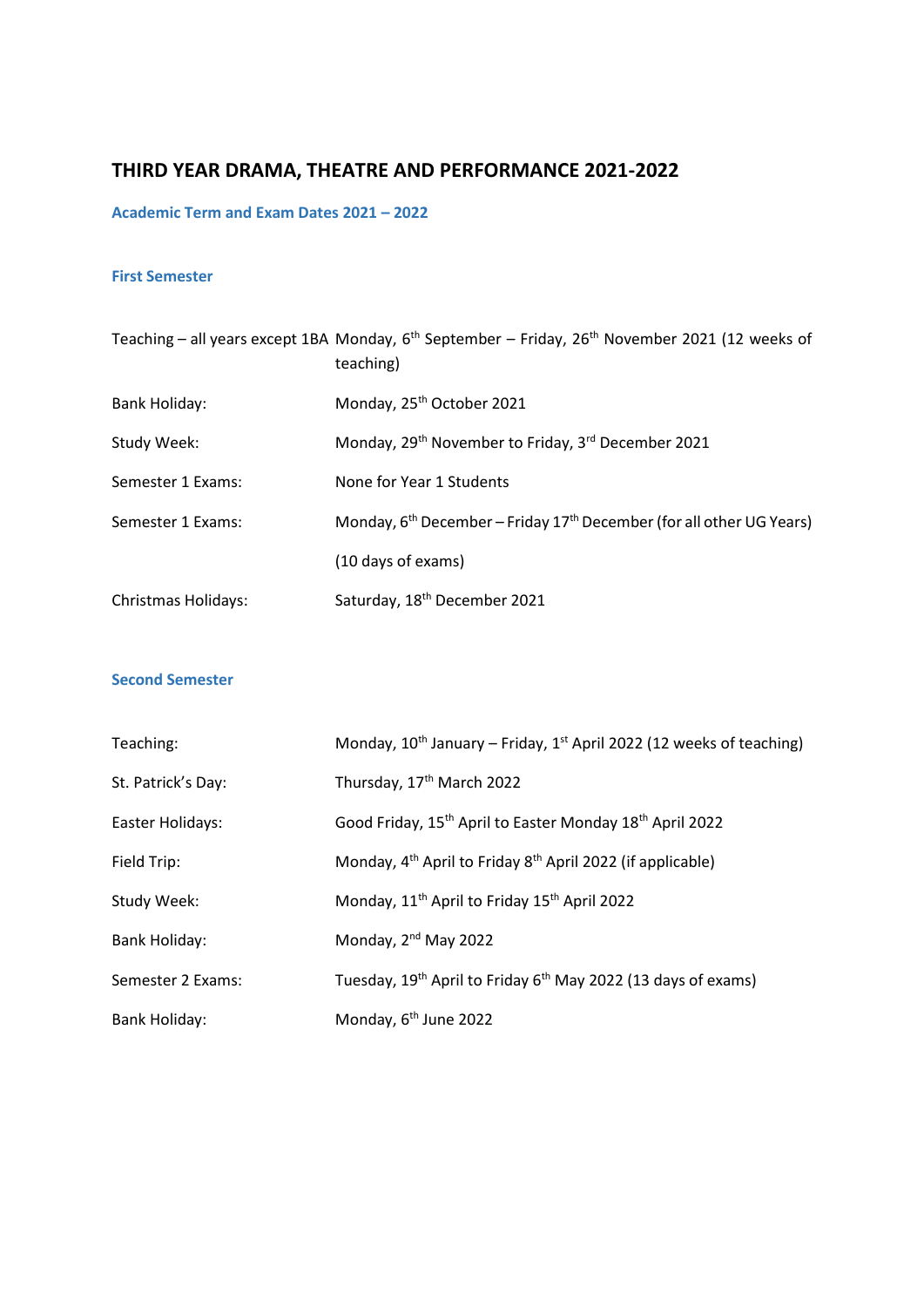# **THIRD YEAR DRAMA, THEATRE AND PERFORMANCE 2021-2022**

# **Academic Term and Exam Dates 2021 – 2022**

## **First Semester**

|                            | Teaching – all years except 1BA Monday, $6^{th}$ September – Friday, 26 <sup>th</sup> November 2021 (12 weeks of<br>teaching) |  |  |
|----------------------------|-------------------------------------------------------------------------------------------------------------------------------|--|--|
| <b>Bank Holiday:</b>       | Monday, 25 <sup>th</sup> October 2021                                                                                         |  |  |
| Study Week:                | Monday, 29 <sup>th</sup> November to Friday, 3 <sup>rd</sup> December 2021                                                    |  |  |
| Semester 1 Exams:          | None for Year 1 Students                                                                                                      |  |  |
| Semester 1 Exams:          | Monday, $6th December – Friday 17th December (for all other UG Years)$                                                        |  |  |
|                            | (10 days of exams)                                                                                                            |  |  |
| <b>Christmas Holidays:</b> | Saturday, 18 <sup>th</sup> December 2021                                                                                      |  |  |

## **Second Semester**

| Teaching:          | Monday, $10^{th}$ January – Friday, $1^{st}$ April 2022 (12 weeks of teaching)        |  |  |
|--------------------|---------------------------------------------------------------------------------------|--|--|
| St. Patrick's Day: | Thursday, 17 <sup>th</sup> March 2022                                                 |  |  |
| Easter Holidays:   | Good Friday, 15 <sup>th</sup> April to Easter Monday 18 <sup>th</sup> April 2022      |  |  |
| Field Trip:        | Monday, 4 <sup>th</sup> April to Friday 8 <sup>th</sup> April 2022 (if applicable)    |  |  |
| Study Week:        | Monday, 11 <sup>th</sup> April to Friday 15 <sup>th</sup> April 2022                  |  |  |
| Bank Holiday:      | Monday, 2 <sup>nd</sup> May 2022                                                      |  |  |
| Semester 2 Exams:  | Tuesday, 19 <sup>th</sup> April to Friday 6 <sup>th</sup> May 2022 (13 days of exams) |  |  |
| Bank Holiday:      | Monday, 6 <sup>th</sup> June 2022                                                     |  |  |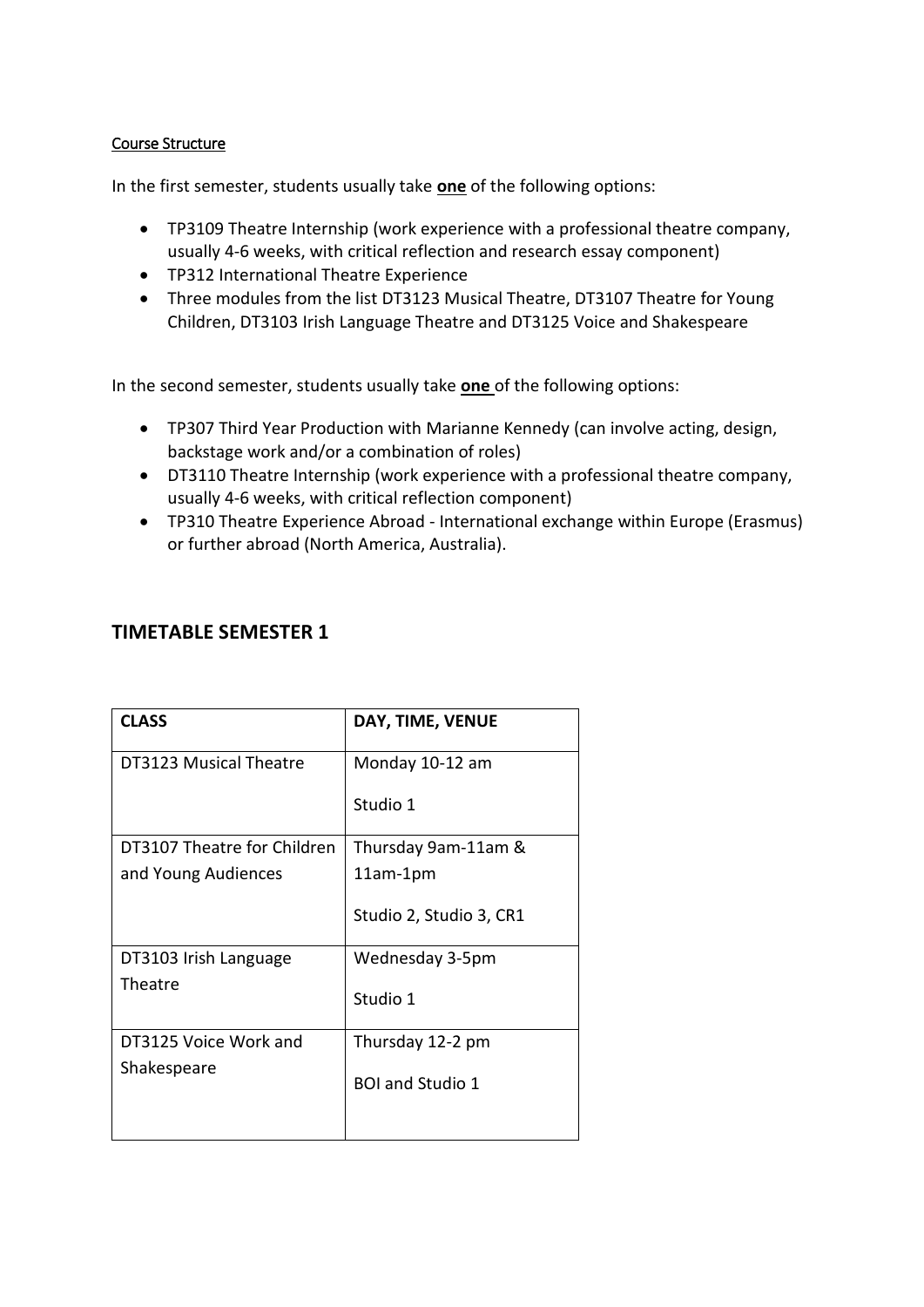# Course Structure

In the first semester, students usually take **one** of the following options:

- TP3109 Theatre Internship (work experience with a professional theatre company, usually 4-6 weeks, with critical reflection and research essay component)
- TP312 International Theatre Experience
- Three modules from the list DT3123 Musical Theatre, DT3107 Theatre for Young Children, DT3103 Irish Language Theatre and DT3125 Voice and Shakespeare

In the second semester, students usually take **one** of the following options:

- TP307 Third Year Production with Marianne Kennedy (can involve acting, design, backstage work and/or a combination of roles)
- DT3110 Theatre Internship (work experience with a professional theatre company, usually 4-6 weeks, with critical reflection component)
- TP310 Theatre Experience Abroad International exchange within Europe (Erasmus) or further abroad (North America, Australia).

| <b>CLASS</b>                | DAY, TIME, VENUE        |
|-----------------------------|-------------------------|
| DT3123 Musical Theatre      | Monday 10-12 am         |
|                             | Studio 1                |
| DT3107 Theatre for Children | Thursday 9am-11am &     |
| and Young Audiences         | 11am-1pm                |
|                             | Studio 2, Studio 3, CR1 |
| DT3103 Irish Language       | Wednesday 3-5pm         |
| Theatre                     | Studio 1                |
| DT3125 Voice Work and       | Thursday 12-2 pm        |
| Shakespeare                 | <b>BOI and Studio 1</b> |
|                             |                         |

# **TIMETABLE SEMESTER 1**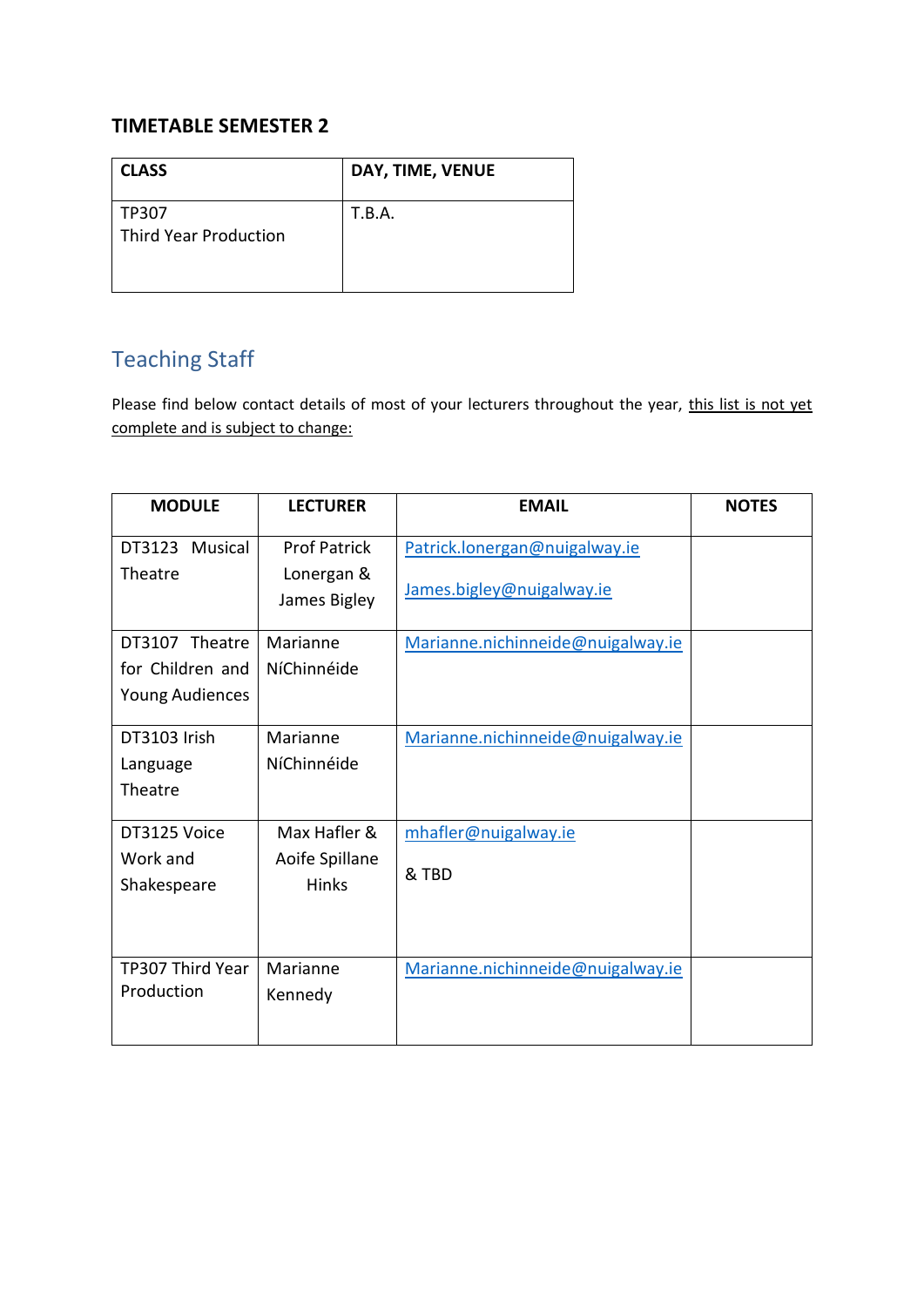# **TIMETABLE SEMESTER 2**

| <b>CLASS</b>                          | DAY, TIME, VENUE |
|---------------------------------------|------------------|
| TP307<br><b>Third Year Production</b> | T.B.A.           |

# Teaching Staff

Please find below contact details of most of your lecturers throughout the year, this list is not yet complete and is subject to change:

| <b>MODULE</b>           | <b>LECTURER</b>                | <b>EMAIL</b>                      | <b>NOTES</b> |
|-------------------------|--------------------------------|-----------------------------------|--------------|
| DT3123 Musical          | <b>Prof Patrick</b>            | Patrick.lonergan@nuigalway.ie     |              |
| Theatre                 | Lonergan &                     | James.bigley@nuigalway.ie         |              |
|                         | James Bigley                   |                                   |              |
| DT3107 Theatre          | Marianne                       | Marianne.nichinneide@nuigalway.ie |              |
| for Children and        | NíChinnéide                    |                                   |              |
| <b>Young Audiences</b>  |                                |                                   |              |
| DT3103 Irish            | Marianne                       | Marianne.nichinneide@nuigalway.ie |              |
| Language                | NíChinnéide                    |                                   |              |
| Theatre                 |                                |                                   |              |
| DT3125 Voice            | Max Hafler &                   | mhafler@nuigalway.ie              |              |
| Work and<br>Shakespeare | Aoife Spillane<br><b>Hinks</b> | & TBD                             |              |
|                         |                                |                                   |              |
| TP307 Third Year        | Marianne                       | Marianne.nichinneide@nuigalway.ie |              |
| Production              | Kennedy                        |                                   |              |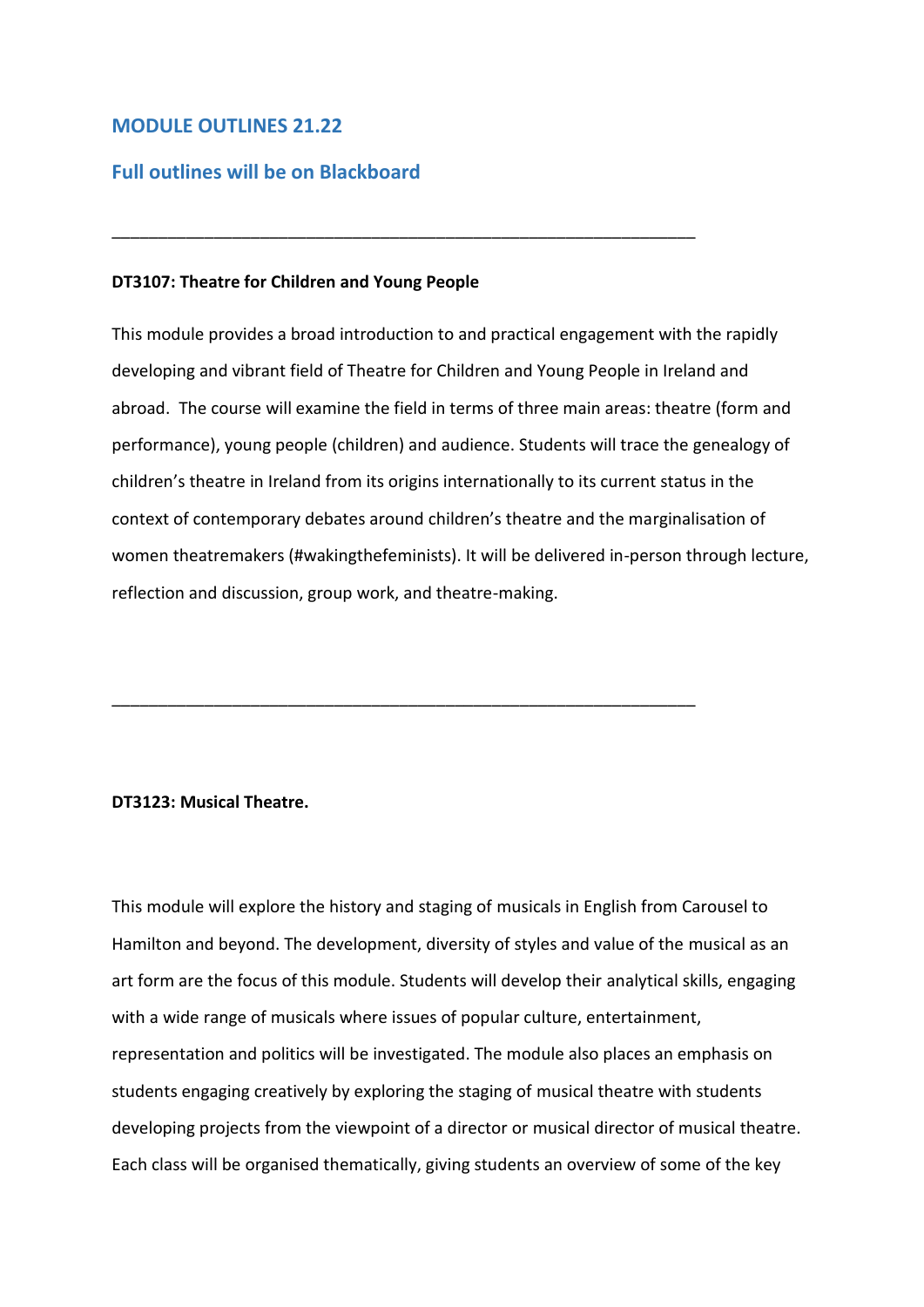# **MODULE OUTLINES 21.22**

# **Full outlines will be on Blackboard**

## **DT3107: Theatre for Children and Young People**

This module provides a broad introduction to and practical engagement with the rapidly developing and vibrant field of Theatre for Children and Young People in Ireland and abroad. The course will examine the field in terms of three main areas: theatre (form and performance), young people (children) and audience. Students will trace the genealogy of children's theatre in Ireland from its origins internationally to its current status in the context of contemporary debates around children's theatre and the marginalisation of women theatremakers (#wakingthefeminists). It will be delivered in-person through lecture, reflection and discussion, group work, and theatre-making.

\_\_\_\_\_\_\_\_\_\_\_\_\_\_\_\_\_\_\_\_\_\_\_\_\_\_\_\_\_\_\_\_\_\_\_\_\_\_\_\_\_\_\_\_\_\_\_\_\_\_\_\_\_\_\_\_\_\_\_\_\_\_\_

\_\_\_\_\_\_\_\_\_\_\_\_\_\_\_\_\_\_\_\_\_\_\_\_\_\_\_\_\_\_\_\_\_\_\_\_\_\_\_\_\_\_\_\_\_\_\_\_\_\_\_\_\_\_\_\_\_\_\_\_\_\_\_

## **DT3123: Musical Theatre.**

This module will explore the history and staging of musicals in English from Carousel to Hamilton and beyond. The development, diversity of styles and value of the musical as an art form are the focus of this module. Students will develop their analytical skills, engaging with a wide range of musicals where issues of popular culture, entertainment, representation and politics will be investigated. The module also places an emphasis on students engaging creatively by exploring the staging of musical theatre with students developing projects from the viewpoint of a director or musical director of musical theatre. Each class will be organised thematically, giving students an overview of some of the key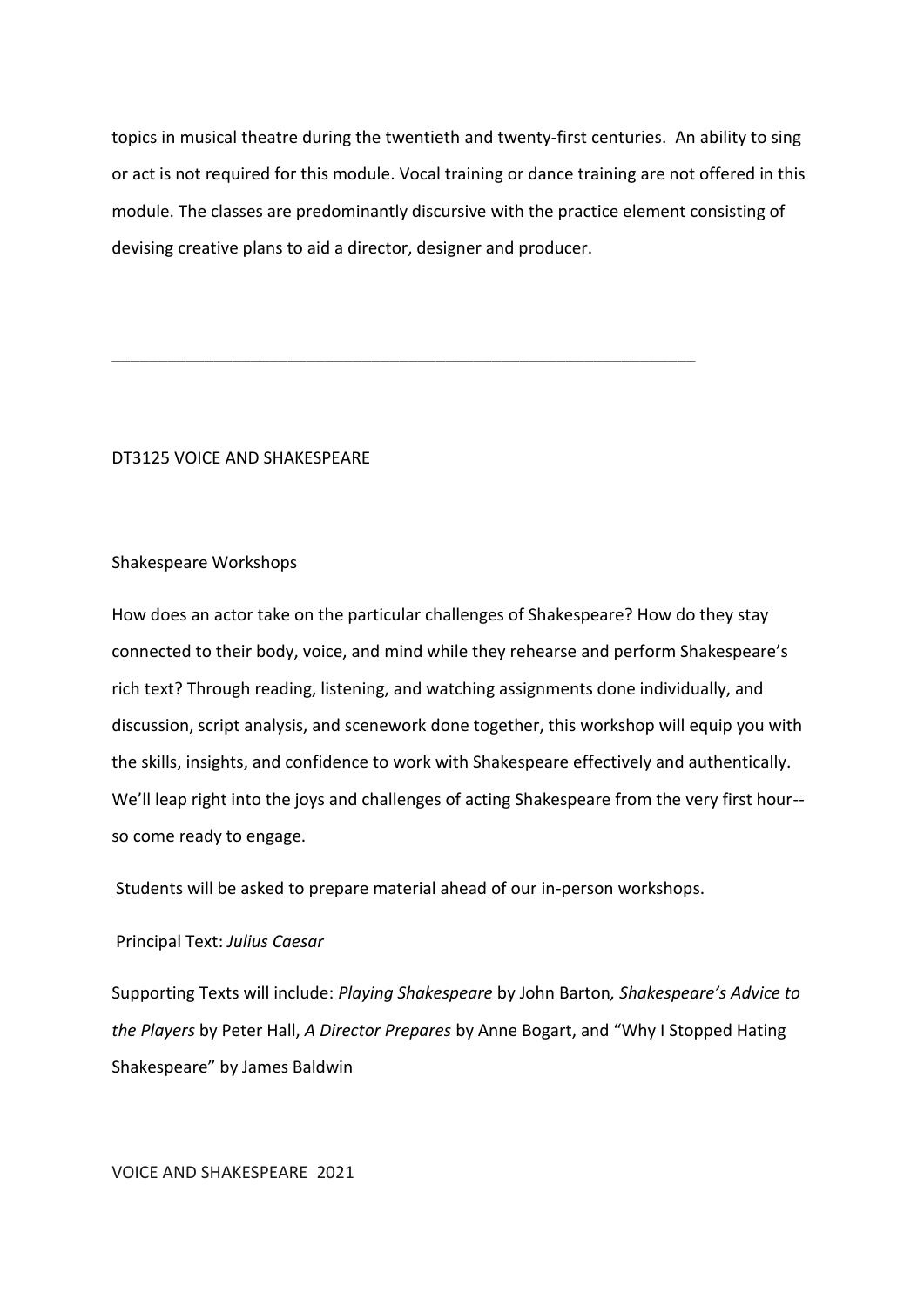topics in musical theatre during the twentieth and twenty-first centuries. An ability to sing or act is not required for this module. Vocal training or dance training are not offered in this module. The classes are predominantly discursive with the practice element consisting of devising creative plans to aid a director, designer and producer.

\_\_\_\_\_\_\_\_\_\_\_\_\_\_\_\_\_\_\_\_\_\_\_\_\_\_\_\_\_\_\_\_\_\_\_\_\_\_\_\_\_\_\_\_\_\_\_\_\_\_\_\_\_\_\_\_\_\_\_\_\_\_\_

# DT3125 VOICE AND SHAKESPEARE

#### Shakespeare Workshops

How does an actor take on the particular challenges of Shakespeare? How do they stay connected to their body, voice, and mind while they rehearse and perform Shakespeare's rich text? Through reading, listening, and watching assignments done individually, and discussion, script analysis, and scenework done together, this workshop will equip you with the skills, insights, and confidence to work with Shakespeare effectively and authentically. We'll leap right into the joys and challenges of acting Shakespeare from the very first hour- so come ready to engage.

Students will be asked to prepare material ahead of our in-person workshops.

# Principal Text: *Julius Caesar*

Supporting Texts will include: *Playing Shakespeare* by John Barton*, Shakespeare's Advice to the Players* by Peter Hall, *A Director Prepares* by Anne Bogart, and "Why I Stopped Hating Shakespeare" by James Baldwin

#### VOICE AND SHAKESPEARE 2021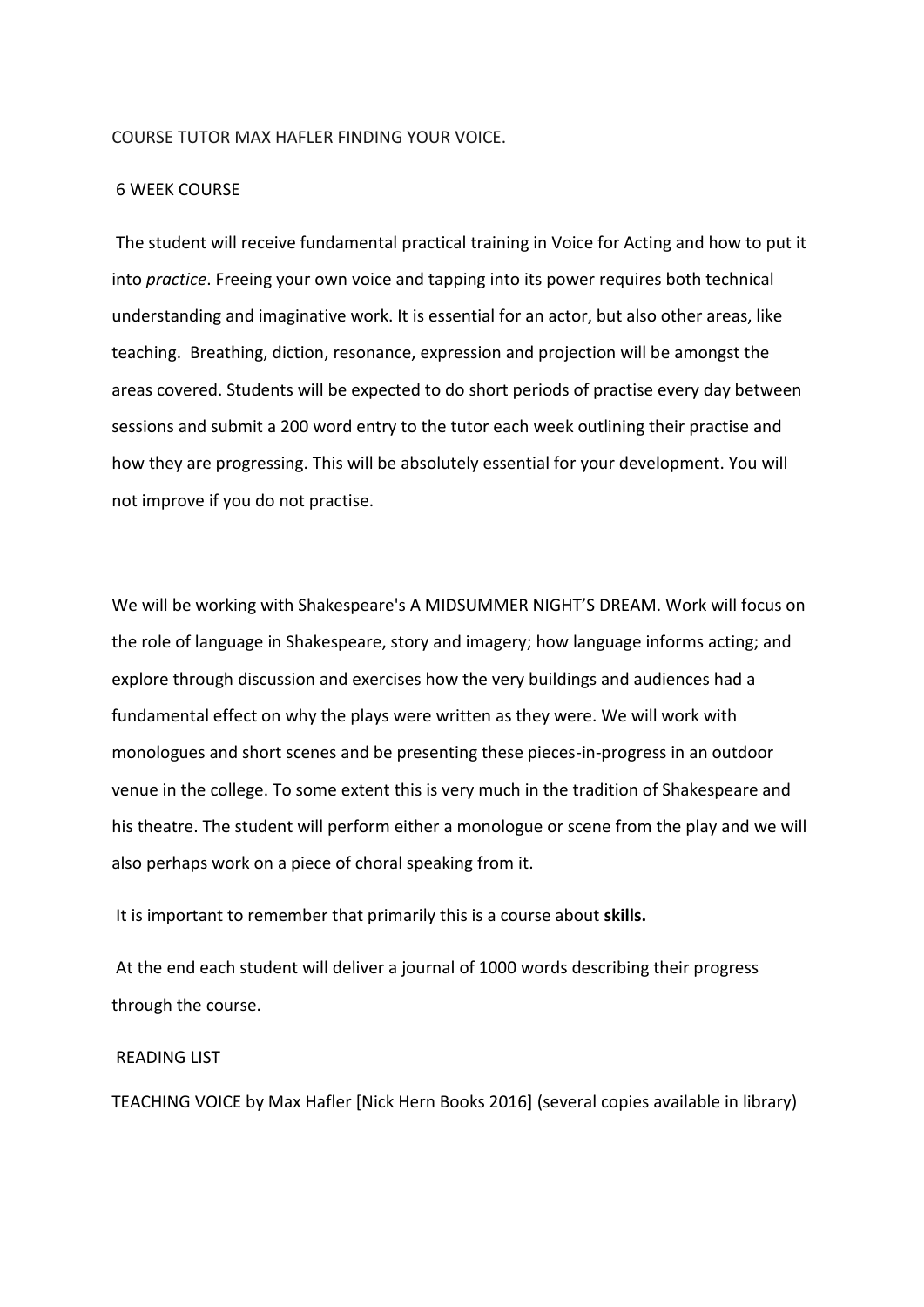#### COURSE TUTOR MAX HAFLER FINDING YOUR VOICE.

## 6 WEEK COURSE

The student will receive fundamental practical training in Voice for Acting and how to put it into *practice*. Freeing your own voice and tapping into its power requires both technical understanding and imaginative work. It is essential for an actor, but also other areas, like teaching. Breathing, diction, resonance, expression and projection will be amongst the areas covered. Students will be expected to do short periods of practise every day between sessions and submit a 200 word entry to the tutor each week outlining their practise and how they are progressing. This will be absolutely essential for your development. You will not improve if you do not practise.

We will be working with Shakespeare's A MIDSUMMER NIGHT'S DREAM. Work will focus on the role of language in Shakespeare, story and imagery; how language informs acting; and explore through discussion and exercises how the very buildings and audiences had a fundamental effect on why the plays were written as they were. We will work with monologues and short scenes and be presenting these pieces-in-progress in an outdoor venue in the college. To some extent this is very much in the tradition of Shakespeare and his theatre. The student will perform either a monologue or scene from the play and we will also perhaps work on a piece of choral speaking from it.

It is important to remember that primarily this is a course about **skills.**

At the end each student will deliver a journal of 1000 words describing their progress through the course.

#### READING LIST

TEACHING VOICE by Max Hafler [Nick Hern Books 2016] (several copies available in library)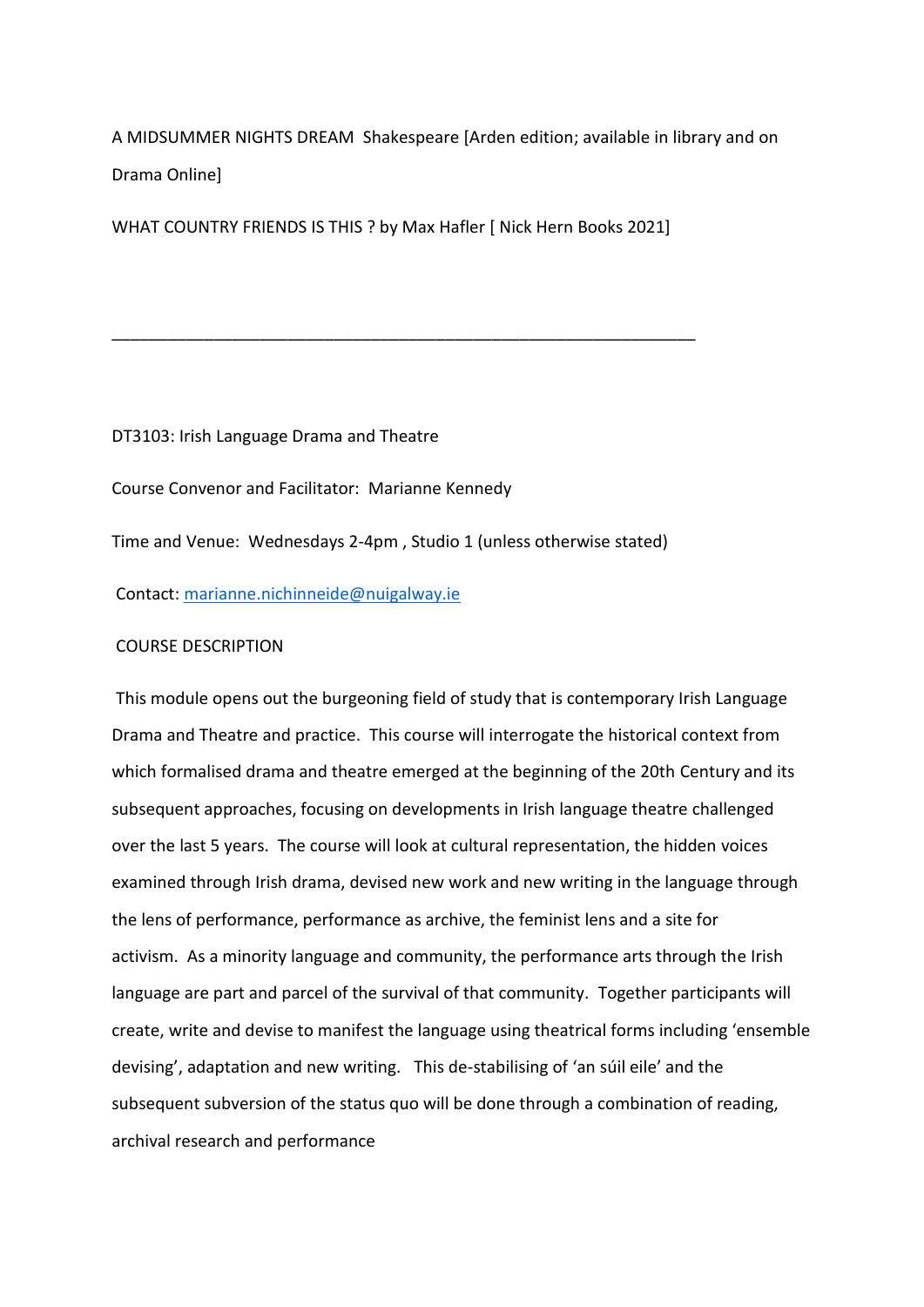A MIDSUMMER NIGHTS DREAM Shakespeare [Arden edition; available in library and on Drama Online]

WHAT COUNTRY FRIENDS IS THIS ? by Max Hafler [ Nick Hern Books 2021]

\_\_\_\_\_\_\_\_\_\_\_\_\_\_\_\_\_\_\_\_\_\_\_\_\_\_\_\_\_\_\_\_\_\_\_\_\_\_\_\_\_\_\_\_\_\_\_\_\_\_\_\_\_\_\_\_\_\_\_\_\_\_\_

DT3103: Irish Language Drama and Theatre

Course Convenor and Facilitator: Marianne Kennedy

Time and Venue: Wednesdays 2-4pm , Studio 1 (unless otherwise stated)

Contact: [marianne.nichinneide@nuigalway.ie](mailto:marianne.nichinneide@nuigalway.ie) 

## COURSE DESCRIPTION

This module opens out the burgeoning field of study that is contemporary Irish Language Drama and Theatre and practice. This course will interrogate the historical context from which formalised drama and theatre emerged at the beginning of the 20th Century and its subsequent approaches, focusing on developments in Irish language theatre challenged over the last 5 years. The course will look at cultural representation, the hidden voices examined through Irish drama, devised new work and new writing in the language through the lens of performance, performance as archive, the feminist lens and a site for activism. As a minority language and community, the performance arts through the Irish language are part and parcel of the survival of that community. Together participants will create, write and devise to manifest the language using theatrical forms including 'ensemble devising', adaptation and new writing. This de-stabilising of 'an súil eile' and the subsequent subversion of the status quo will be done through a combination of reading, archival research and performance